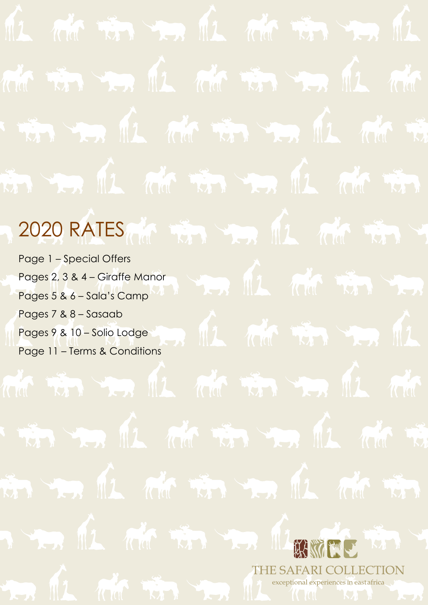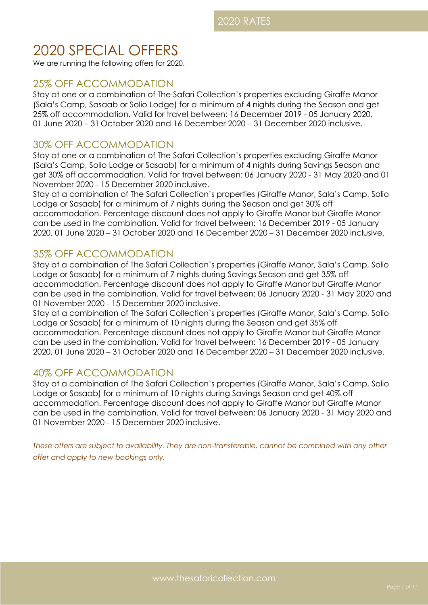# 2020 SPECIAL OFFERS

We are running the following offers for 2020.

# 25% OFF ACCOMMODATION

Stay at one or a combination of The Safari Collection's properties excluding Giraffe Manor (Sala's Camp, Sasaab or Solio Lodge) for a minimum of 4 nights during the Season and get 25% off accommodation. Valid for travel between: 16 December 2019 - 05 January 2020, 01 June 2020 – 31 October 2020 and 16 December 2020 – 31 December 2020 inclusive.

# 30% OFF ACCOMMODATION

Stay at one or a combination of The Safari Collection's properties excluding Giraffe Manor (Sala's Camp, Solio Lodge or Sasaab) for a minimum of 4 nights during Savings Season and get 30% off accommodation. Valid for travel between: 06 January 2020 - 31 May 2020 and 01 November 2020 - 15 December 2020 inclusive.

Stay at a combination of The Safari Collection's properties (Giraffe Manor, Sala's Camp, Solio Lodge or Sasaab) for a minimum of 7 nights during the Season and get 30% off accommodation. Percentage discount does not apply to Giraffe Manor but Giraffe Manor can be used in the combination. Valid for travel between: 16 December 2019 - 05 January 2020, 01 June 2020 – 31 October 2020 and 16 December 2020 – 31 December 2020 inclusive.

# 35% OFF ACCOMMODATION

Stay at a combination of The Safari Collection's properties (Giraffe Manor, Sala's Camp, Solio Lodge or Sasaab) for a minimum of 7 nights during Savings Season and get 35% off accommodation. Percentage discount does not apply to Giraffe Manor but Giraffe Manor can be used in the combination. Valid for travel between: 06 January 2020 - 31 May 2020 and 01 November 2020 - 15 December 2020 inclusive.

Stay at a combination of The Safari Collection's properties (Giraffe Manor, Sala's Camp, Solio Lodge or Sasaab) for a minimum of 10 nights during the Season and get 35% off accommodation. Percentage discount does not apply to Giraffe Manor but Giraffe Manor can be used in the combination. Valid for travel between: 16 December 2019 - 05 January 2020, 01 June 2020 – 31 October 2020 and 16 December 2020 – 31 December 2020 inclusive.

# 40% OFF ACCOMMODATION

Stay at a combination of The Safari Collection's properties (Giraffe Manor, Sala's Camp, Solio Lodge or Sasaab) for a minimum of 10 nights during Savings Season and get 40% off accommodation. Percentage discount does not apply to Giraffe Manor but Giraffe Manor can be used in the combination. Valid for travel between: 06 January 2020 - 31 May 2020 and 01 November 2020 - 15 December 2020 inclusive.

*These offers are subject to availability. They are non-transferable, cannot be combined with any other offer and apply to new bookings only.*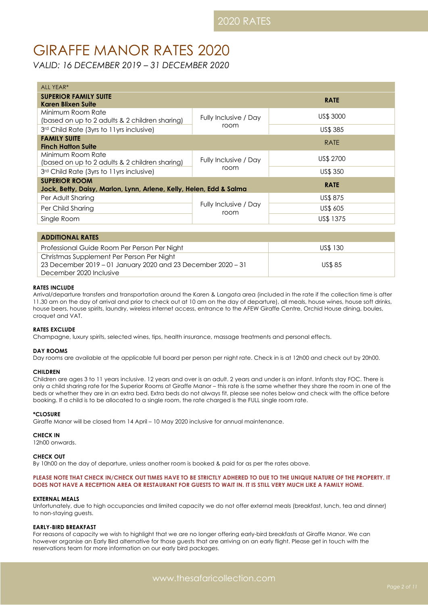# GIRAFFE MANOR RATES 2020

*VALID: 16 DECEMBER 2019 – 31 DECEMBER 2020*

| ALL YEAR*                                                                                                  |                               |             |  |
|------------------------------------------------------------------------------------------------------------|-------------------------------|-------------|--|
| <b>SUPERIOR FAMILY SUITE</b><br>Karen Blixen Suite                                                         |                               | <b>RATE</b> |  |
| Minimum Room Rate<br>(based on up to 2 adults & 2 children sharing)                                        | Fully Inclusive / Day         | US\$ 3000   |  |
| 3rd Child Rate (3yrs to 11yrs inclusive)                                                                   | room                          | US\$ 385    |  |
| <b>FAMILY SUITE</b><br><b>Finch Hatton Suite</b>                                                           |                               | <b>RATE</b> |  |
| Minimum Room Rate<br>(based on up to 2 adults & 2 children sharing)                                        | Fully Inclusive / Day         | US\$ 2700   |  |
| 3rd Child Rate (3yrs to 11yrs inclusive)                                                                   | room                          | US\$ 350    |  |
| <b>SUPERIOR ROOM</b><br><b>RATE</b><br>Jock, Betty, Daisy, Marlon, Lynn, Arlene, Kelly, Helen, Edd & Salma |                               |             |  |
| Per Adult Sharing                                                                                          |                               | US\$ 875    |  |
| Per Child Sharing                                                                                          | Fully Inclusive / Day<br>room | US\$ 605    |  |
| Single Room                                                                                                |                               | US\$ 1375   |  |

| <b>ADDITIONAL RATES</b>                                      |               |
|--------------------------------------------------------------|---------------|
| Professional Guide Room Per Person Per Night                 | US\$ 130      |
| Christmas Supplement Per Person Per Night                    |               |
| 23 December 2019 – 01 January 2020 and 23 December 2020 – 31 | <b>US\$85</b> |
| December 2020 Inclusive                                      |               |

# **RATES INCLUDE**

Arrival/departure transfers and transportation around the Karen & Langata area (included in the rate if the collection time is after 11.30 am on the day of arrival and prior to check out at 10 am on the day of departure), all meals, house wines, house soft drinks, house beers, house spirits, laundry, wireless internet access, entrance to the AFEW Giraffe Centre, Orchid House dining, boules, croquet and VAT.

# **RATES EXCLUDE**

Champagne, luxury spirits, selected wines, tips, health insurance, massage treatments and personal effects.

# **DAY ROOMS**

Day rooms are available at the applicable full board per person per night rate. Check in is at 12h00 and check out by 20h00.

### **CHILDREN**

Children are ages 3 to 11 years inclusive. 12 years and over is an adult. 2 years and under is an infant. Infants stay FOC. There is only a child sharing rate for the Superior Rooms at Giraffe Manor – this rate is the same whether they share the room in one of the beds or whether they are in an extra bed. Extra beds do not always fit, please see notes below and check with the office before booking. If a child is to be allocated to a single room, the rate charged is the FULL single room rate.

### **\*CLOSURE**

Giraffe Manor will be closed from 14 April – 10 May 2020 inclusive for annual maintenance.

### **CHECK IN**

12h00 onwards.

## **CHECK OUT**

By 10h00 on the day of departure, unless another room is booked & paid for as per the rates above.

# **PLEASE NOTE THAT CHECK IN/CHECK OUT TIMES HAVE TO BE STRICTLY ADHERED TO DUE TO THE UNIQUE NATURE OF THE PROPERTY. IT DOES NOT HAVE A RECEPTION AREA OR RESTAURANT FOR GUESTS TO WAIT IN. IT IS STILL VERY MUCH LIKE A FAMILY HOME.**

### **EXTERNAL MEALS**

Unfortunately, due to high occupancies and limited capacity we do not offer external meals (breakfast, lunch, tea and dinner) to non-staying guests.

### **EARLY-BIRD BREAKFAST**

For reasons of capacity we wish to highlight that we are no longer offering early-bird breakfasts at Giraffe Manor. We can however organise an Early Bird alternative for those guests that are arriving on an early flight. Please get in touch with the reservations team for more information on our early bird packages.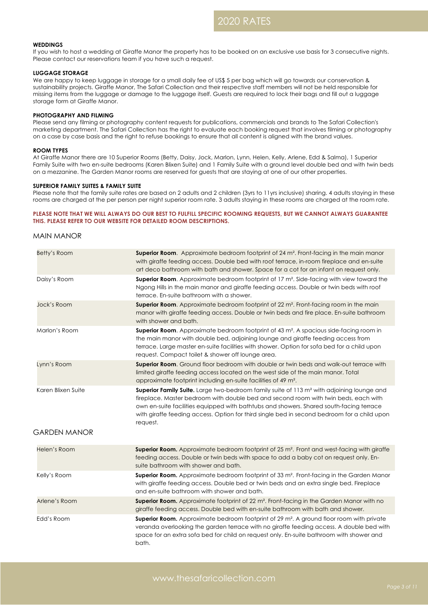# **WEDDINGS**

If you wish to host a wedding at Giraffe Manor the property has to be booked on an exclusive use basis for 3 consecutive nights. Please contact our reservations team if you have such a request.

### **LUGGAGE STORAGE**

We are happy to keep luggage in storage for a small daily fee of US\$ 5 per bag which will go towards our conservation & sustainability projects. Giraffe Manor, The Safari Collection and their respective staff members will not be held responsible for missing items from the luggage or damage to the luggage itself. Guests are required to lock their bags and fill out a luggage storage form at Giraffe Manor.

# **PHOTOGRAPHY AND FILMING**

Please send any filming or photography content requests for publications, commercials and brands to The Safari Collection's marketing department. The Safari Collection has the right to evaluate each booking request that involves filming or photography on a case by case basis and the right to refuse bookings to ensure that all content is aligned with the brand values.

#### **ROOM TYPES**

At Giraffe Manor there are 10 Superior Rooms (Betty, Daisy, Jock, Marlon, Lynn, Helen, Kelly, Arlene, Edd & Salma), 1 Superior Family Suite with two en-suite bedrooms (Karen Blixen Suite) and 1 Family Suite with a ground level double bed and with twin beds on a mezzanine. The Garden Manor rooms are reserved for guests that are staying at one of our other properties.

# **SUPERIOR FAMILY SUITES & FAMILY SUITE**

Please note that the family suite rates are based on 2 adults and 2 children (3yrs to 11yrs inclusive) sharing. 4 adults staying in these rooms are charged at the per person per night superior room rate. 3 adults staying in these rooms are charged at the room rate.

# **PLEASE NOTE THAT WE WILL ALWAYS DO OUR BEST TO FULFILL SPECIFIC ROOMING REQUESTS, BUT WE CANNOT ALWAYS GUARANTEE THIS. PLEASE REFER TO OUR WEBSITE FOR DETAILED ROOM DESCRIPTIONS.**

# MAIN MANOR

| Betty's Room                              | Superior Room. Approximate bedroom footprint of 24 m <sup>2</sup> . Front-facing in the main manor<br>with giraffe feeding access. Double bed with roof terrace, in-room fireplace and en-suite<br>art deco bathroom with bath and shower. Space for a cot for an infant on request only.                                                                                                          |
|-------------------------------------------|----------------------------------------------------------------------------------------------------------------------------------------------------------------------------------------------------------------------------------------------------------------------------------------------------------------------------------------------------------------------------------------------------|
| Daisy's Room                              | Superior Room. Approximate bedroom footprint of 17 m <sup>2</sup> . Side-facing with view toward the<br>Ngong Hills in the main manor and giraffe feeding access. Double or twin beds with roof<br>terrace. En-suite bathroom with a shower.                                                                                                                                                       |
| Jock's Room                               | <b>Superior Room.</b> Approximate bedroom footprint of 22 m <sup>2</sup> . Front-facing room in the main<br>manor with giraffe feeding access. Double or twin beds and fire place. En-suite bathroom<br>with shower and bath.                                                                                                                                                                      |
| Marlon's Room                             | Superior Room. Approximate bedroom footprint of 43 m <sup>2</sup> . A spacious side-facing room in<br>the main manor with double bed, adjoining lounge and giraffe feeding access from<br>terrace. Large master en-suite facilities with shower. Option for sofa bed for a child upon<br>request. Compact toilet & shower off lounge area.                                                         |
| Lynn's Room                               | Superior Room. Ground floor bedroom with double or twin beds and walk-out terrace with<br>limited giraffe feeding access located on the west side of the main manor. Total<br>approximate footprint including en-suite facilities of 49 m <sup>2</sup> .                                                                                                                                           |
| Karen Blixen Suite<br><b>GARDEN MANOR</b> | Superior Family Suite. Large two-bedroom family suite of 113 m <sup>2</sup> with adjoining lounge and<br>fireplace. Master bedroom with double bed and second room with twin beds, each with<br>own en-suite facilities equipped with bathtubs and showers. Shared south-facing terrace<br>with giraffe feeding access. Option for third single bed in second bedroom for a child upon<br>request. |
| Helen's Room                              | Superior Room. Approximate bedroom footprint of 25 m <sup>2</sup> . Front and west-facing with giraffe<br>feeding access. Double or twin beds with space to add a baby cot on request only. En-<br>suite bathroom with shower and bath.                                                                                                                                                            |
| Kelly's Room                              | <b>Superior Room.</b> Approximate bedroom footprint of 33 m <sup>2</sup> . Front-facing in the Garden Manor<br>with giraffe feeding access. Double bed or twin beds and an extra single bed. Fireplace<br>and en-suite bathroom with shower and bath.                                                                                                                                              |
| Arlene's Room                             | <b>Superior Room.</b> Approximate footprint of 22 m <sup>2</sup> . Front-facing in the Garden Manor with no<br>giraffe feeding access. Double bed with en-suite bathroom with bath and shower.                                                                                                                                                                                                     |
| Edd's Room                                | Superior Room. Approximate bedroom footprint of 29 m <sup>2</sup> . A ground floor room with private<br>veranda overlooking the garden terrace with no giraffe feeding access. A double bed with<br>space for an extra sofa bed for child on request only. En-suite bathroom with shower and<br>bath.                                                                                              |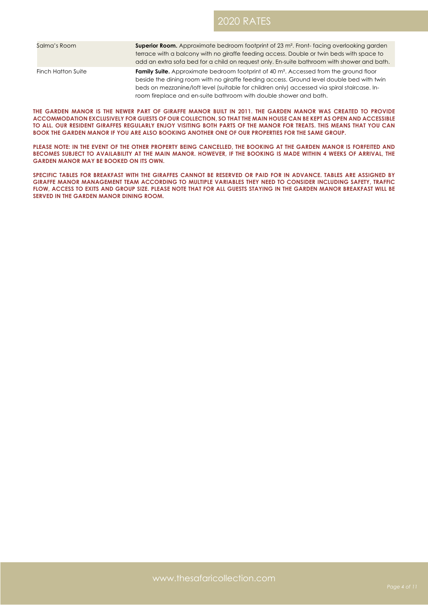# 2020 RATES

| Salma's Room       | <b>Superior Room.</b> Approximate bedroom footprint of 23 m <sup>2</sup> . Front-facing overlooking garden                                                                                           |
|--------------------|------------------------------------------------------------------------------------------------------------------------------------------------------------------------------------------------------|
|                    | terrace with a balcony with no giraffe feeding access. Double or twin beds with space to                                                                                                             |
|                    | add an extra sofa bed for a child on request only. En-suite bathroom with shower and bath.                                                                                                           |
| Finch Hatton Suite | <b>Family Suite.</b> Approximate bedroom footprint of 40 m <sup>2</sup> . Accessed from the ground floor<br>beside the dining room with no giraffe feeding access. Ground level double bed with twin |
|                    | beds on mezzanine/loft level (suitable for children only) accessed via spiral staircase. In-                                                                                                         |
|                    | room fireplace and en-suite bathroom with double shower and bath.                                                                                                                                    |

**THE GARDEN MANOR IS THE NEWER PART OF GIRAFFE MANOR BUILT IN 2011. THE GARDEN MANOR WAS CREATED TO PROVIDE ACCOMMODATION EXCLUSIVELY FOR GUESTS OF OUR COLLECTION, SO THAT THE MAIN HOUSE CAN BE KEPT AS OPEN AND ACCESSIBLE TO ALL. OUR RESIDENT GIRAFFES REGULARLY ENJOY VISITING BOTH PARTS OF THE MANOR FOR TREATS. THIS MEANS THAT YOU CAN BOOK THE GARDEN MANOR IF YOU ARE ALSO BOOKING ANOTHER ONE OF OUR PROPERTIES FOR THE SAME GROUP.** 

**PLEASE NOTE: IN THE EVENT OF THE OTHER PROPERTY BEING CANCELLED, THE BOOKING AT THE GARDEN MANOR IS FORFEITED AND BECOMES SUBJECT TO AVAILABILITY AT THE MAIN MANOR. HOWEVER, IF THE BOOKING IS MADE WITHIN 4 WEEKS OF ARRIVAL, THE GARDEN MANOR MAY BE BOOKED ON ITS OWN.**

**SPECIFIC TABLES FOR BREAKFAST WITH THE GIRAFFES CANNOT BE RESERVED OR PAID FOR IN ADVANCE. TABLES ARE ASSIGNED BY GIRAFFE MANOR MANAGEMENT TEAM ACCORDING TO MULTIPLE VARIABLES THEY NEED TO CONSIDER INCLUDING SAFETY, TRAFFIC FLOW, ACCESS TO EXITS AND GROUP SIZE. PLEASE NOTE THAT FOR ALL GUESTS STAYING IN THE GARDEN MANOR BREAKFAST WILL BE SERVED IN THE GARDEN MANOR DINING ROOM.**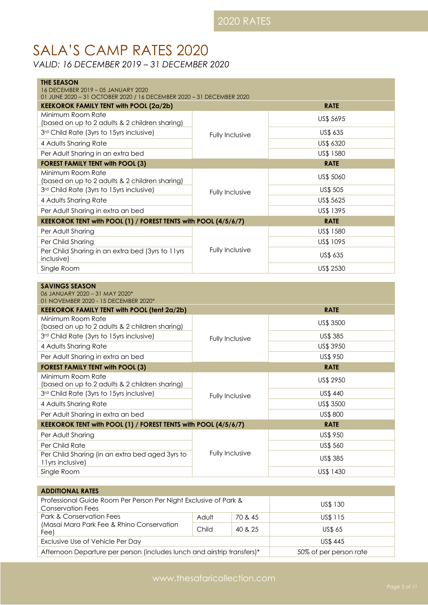# SALA'S CAMP RATES 2020

*VALID: 16 DECEMBER 2019 – 31 DECEMBER 2020*

| <b>THE SEASON</b><br>16 DECEMBER 2019 - 05 JANUARY 2020<br>01 JUNE 2020 - 31 OCTOBER 2020 / 16 DECEMBER 2020 - 31 DECEMBER 2020 |                 |                       |
|---------------------------------------------------------------------------------------------------------------------------------|-----------------|-----------------------|
| <b>KEEKOROK FAMILY TENT with POOL (2a/2b)</b>                                                                                   |                 | <b>RATE</b>           |
| Minimum Room Rate                                                                                                               |                 | US\$ 5695             |
| (based on up to 2 adults & 2 children sharing)                                                                                  |                 |                       |
| 3rd Child Rate (3yrs to 15yrs inclusive)                                                                                        | Fully Inclusive | US\$ 635              |
| 4 Adults Sharing Rate                                                                                                           |                 | US\$ 6320             |
| Per Adult Sharing in an extra bed                                                                                               |                 | US\$ 1580             |
| <b>FOREST FAMILY TENT with POOL (3)</b><br>Minimum Room Rate                                                                    |                 | <b>RATE</b>           |
| (based on up to 2 adults & 2 children sharing)                                                                                  |                 | US\$ 5060             |
| 3rd Child Rate (3yrs to 15yrs inclusive)                                                                                        | Fully Inclusive | US\$ 505              |
| 4 Adults Sharing Rate                                                                                                           |                 | US\$ 5625             |
| Per Adult Sharing in extra an bed                                                                                               |                 | US\$ 1395             |
| KEEKOROK TENT with POOL (1) / FOREST TENTS with POOL (4/5/6/7)                                                                  |                 | <b>RATE</b>           |
| Per Adult Sharing                                                                                                               |                 | US\$ 1580             |
| Per Child Sharing                                                                                                               |                 | US\$ 1095             |
| Per Child Sharing in an extra bed (3yrs to 11yrs<br>inclusive)                                                                  | Fully Inclusive | US\$ 635              |
| Single Room                                                                                                                     |                 | US\$ 2530             |
| <b>SAVINGS SEASON</b><br>06 JANUARY 2020 - 31 MAY 2020*<br>01 NOVEMBER 2020 - 15 DECEMBER 2020*                                 |                 |                       |
| <b>KEEKOROK FAMILY TENT with POOL (tent 2a/2b)</b>                                                                              |                 | <b>RATE</b>           |
| Minimum Room Rate                                                                                                               |                 | US\$ 3500             |
| (based on up to 2 adults & 2 children sharing)                                                                                  |                 |                       |
| 3rd Child Rate (3yrs to 15yrs inclusive)                                                                                        | Fully Inclusive | US\$ 385              |
| 4 Adults Sharing Rate<br>Per Adult Sharing in extra an bed                                                                      |                 | US\$ 3950<br>US\$ 950 |
|                                                                                                                                 |                 | <b>RATE</b>           |
| <b>FOREST FAMILY TENT with POOL (3)</b><br>Minimum Room Rate                                                                    |                 |                       |
| (based on up to 2 adults & 2 children sharing)                                                                                  |                 | US\$ 2950             |
| 3rd Child Rate (3yrs to 15yrs inclusive)                                                                                        | Fully Inclusive | US\$ 440              |
| 4 Adults Sharing Rate                                                                                                           |                 | US\$ 3500             |
| Per Adult Sharing in extra an bed                                                                                               |                 | US\$ 800              |
| KEEKOROK TENT with POOL (1) / FOREST TENTS with POOL (4/5/6/7)                                                                  |                 | <b>RATE</b>           |
| Per Adult Sharing                                                                                                               |                 | US\$ 950              |
| Per Child Rate                                                                                                                  |                 | US\$ 560              |
| Per Child Sharing (in an extra bed aged 3yrs to<br>11yrs inclusive)                                                             | Fully Inclusive | US\$ 385              |
| Single Room                                                                                                                     |                 | US\$ 1430             |

| <b>ADDITIONAL RATES</b>                                                                      |       |         |                        |  |
|----------------------------------------------------------------------------------------------|-------|---------|------------------------|--|
| Professional Guide Room Per Person Per Night Exclusive of Park &<br><b>Conservation Fees</b> |       |         | US\$ 130               |  |
| Park & Conservation Fees                                                                     | Adult | 70 & 45 | US\$ 115               |  |
| (Masai Mara Park Fee & Rhino Conservation<br>Fee)                                            | Child | 40 & 25 | <b>US\$ 65</b>         |  |
| Exclusive Use of Vehicle Per Day                                                             |       |         | <b>US\$445</b>         |  |
| Afternoon Departure per person (includes lunch and airstrip transfers)*                      |       |         | 50% of per person rate |  |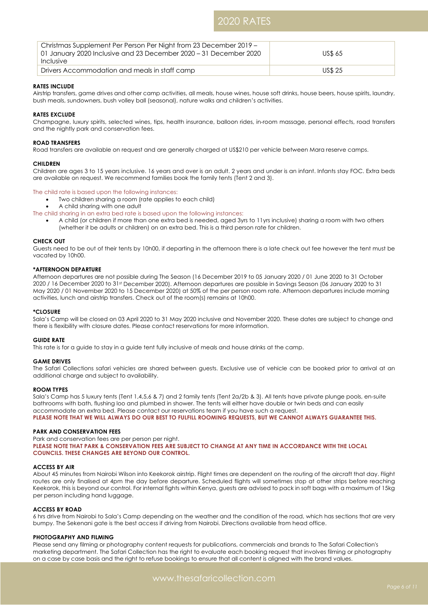# 2020 RATES

| Christmas Supplement Per Person Per Night from 23 December 2019 –<br>01 January 2020 Inclusive and 23 December 2020 – 31 December 2020<br>Inclusive | <b>US\$ 65</b> |
|-----------------------------------------------------------------------------------------------------------------------------------------------------|----------------|
| Drivers Accommodation and meals in staff camp                                                                                                       | <b>US\$ 25</b> |

# **RATES INCLUDE**

Airstrip transfers, game drives and other camp activities, all meals, house wines, house soft drinks, house beers, house spirits, laundry, bush meals, sundowners, bush volley ball (seasonal), nature walks and children's activities.

# **RATES EXCLUDE**

Champagne, luxury spirits, selected wines, tips, health insurance, balloon rides, in-room massage, personal effects, road transfers and the nightly park and conservation fees.

### **ROAD TRANSFERS**

Road transfers are available on request and are generally charged at US\$210 per vehicle between Mara reserve camps.

### **CHILDREN**

Children are ages 3 to 15 years inclusive. 16 years and over is an adult. 2 years and under is an infant. Infants stay FOC. Extra beds are available on request. We recommend families book the family tents (Tent 2 and 3).

# The child rate is based upon the following instances:

- Two children sharing a room (rate applies to each child)
	- A child sharing with one adult
- The child sharing in an extra bed rate is based upon the following instances:
	- A child (or children if more than one extra bed is needed, aged 3yrs to 11yrs inclusive) sharing a room with two others (whether it be adults or children) on an extra bed. This is a third person rate for children.

# **CHECK OUT**

Guests need to be out of their tents by 10h00, if departing in the afternoon there is a late check out fee however the tent must be vacated by 10h00.

# **\*AFTERNOON DEPARTURE**

Afternoon departures are not possible during The Season (16 December 2019 to 05 January 2020 / 01 June 2020 to 31 October 2020 / 16 December 2020 to 31st December 2020). Afternoon departures are possible in Savings Season (06 January 2020 to 31 May 2020 / 01 November 2020 to 15 December 2020) at 50% of the per person room rate. Afternoon departures include morning activities, lunch and airstrip transfers. Check out of the room(s) remains at 10h00.

### **\*CLOSURE**

Sala's Camp will be closed on 03 April 2020 to 31 May 2020 inclusive and November 2020. These dates are subject to change and there is flexibility with closure dates. Please contact reservations for more information.

### **GUIDE RATE**

This rate is for a guide to stay in a guide tent fully inclusive of meals and house drinks at the camp.

### **GAME DRIVES**

The Safari Collections safari vehicles are shared between guests. Exclusive use of vehicle can be booked prior to arrival at an additional charge and subject to availability.

### **ROOM TYPES**

Sala's Camp has 5 luxury tents (Tent 1,4,5,6 & 7) and 2 family tents (Tent 2a/2b & 3). All tents have private plunge pools, en-suite bathrooms with bath, flushing loo and plumbed in shower. The tents will either have double or twin beds and can easily accommodate an extra bed. Please contact our reservations team if you have such a request. **PLEASE NOTE THAT WE WILL ALWAYS DO OUR BEST TO FULFILL ROOMING REQUESTS, BUT WE CANNOT ALWAYS GUARANTEE THIS.**

### **PARK AND CONSERVATION FEES**

Park and conservation fees are per person per night. **PLEASE NOTE THAT PARK & CONSERVATION FEES ARE SUBJECT TO CHANGE AT ANY TIME IN ACCORDANCE WITH THE LOCAL COUNCILS. THESE CHANGES ARE BEYOND OUR CONTROL.** 

### **ACCESS BY AIR**

About 45 minutes from Nairobi Wilson into Keekorok airstrip. Flight times are dependent on the routing of the aircraft that day. Flight routes are only finalised at 4pm the day before departure. Scheduled flights will sometimes stop at other strips before reaching Keekorok, this is beyond our control. For internal fights within Kenya, guests are advised to pack in soft bags with a maximum of 15kg per person including hand luggage.

# **ACCESS BY ROAD**

6 hrs drive from Nairobi to Sala's Camp depending on the weather and the condition of the road, which has sections that are very bumpy. The Sekenani gate is the best access if driving from Nairobi. Directions available from head office.

### **PHOTOGRAPHY AND FILMING**

Please send any filming or photography content requests for publications, commercials and brands to The Safari Collection's marketing department. The Safari Collection has the right to evaluate each booking request that involves filming or photography on a case by case basis and the right to refuse bookings to ensure that all content is aligned with the brand values.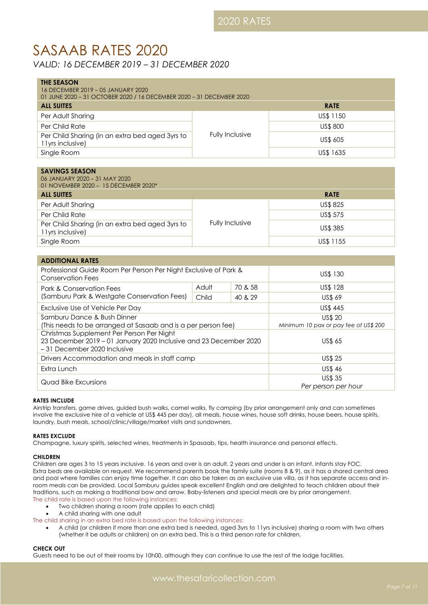# SASAAB RATES 2020

*VALID: 16 DECEMBER 2019 – 31 DECEMBER 2020*

| <b>THE SEASON</b><br>16 DECEMBER 2019 - 05 JANUARY 2020                                                                                        |                 |                                       |                                       |  |  |
|------------------------------------------------------------------------------------------------------------------------------------------------|-----------------|---------------------------------------|---------------------------------------|--|--|
| 01 JUNE 2020 - 31 OCTOBER 2020 / 16 DECEMBER 2020 - 31 DECEMBER 2020                                                                           |                 |                                       |                                       |  |  |
| <b>ALL SUITES</b>                                                                                                                              |                 |                                       | <b>RATE</b>                           |  |  |
| Per Adult Sharing                                                                                                                              |                 |                                       | US\$ 1150                             |  |  |
| Per Child Rate                                                                                                                                 |                 |                                       | US\$ 800                              |  |  |
| Per Child Sharing (in an extra bed aged 3yrs to<br>11yrs inclusive)                                                                            |                 | Fully Inclusive                       | US\$ 605                              |  |  |
| Single Room                                                                                                                                    |                 |                                       | US\$ 1635                             |  |  |
|                                                                                                                                                |                 |                                       |                                       |  |  |
| <b>SAVINGS SEASON</b><br>06 JANUARY 2020 - 31 MAY 2020<br>01 NOVEMBER 2020 - 15 DECEMBER 2020*                                                 |                 |                                       |                                       |  |  |
| <b>ALL SUITES</b>                                                                                                                              |                 |                                       | <b>RATE</b>                           |  |  |
| Per Adult Sharing                                                                                                                              |                 |                                       | US\$ 825                              |  |  |
| Per Child Rate                                                                                                                                 |                 |                                       | US\$ 575                              |  |  |
| Per Child Sharing (in an extra bed aged 3yrs to<br>11yrs inclusive)                                                                            | Fully Inclusive |                                       | <b>US\$ 385</b>                       |  |  |
| Single Room                                                                                                                                    |                 |                                       | US\$ 1155                             |  |  |
|                                                                                                                                                |                 |                                       |                                       |  |  |
| <b>ADDITIONAL RATES</b>                                                                                                                        |                 |                                       |                                       |  |  |
| Professional Guide Room Per Person Per Night Exclusive of Park &<br><b>Conservation Fees</b>                                                   |                 |                                       | US\$ 130                              |  |  |
| <b>Park &amp; Conservation Fees</b>                                                                                                            | Adult           | 70 & 58                               | US\$ 128                              |  |  |
| (Samburu Park & Westgate Conservation Fees)                                                                                                    | Child           | 40 & 29                               | <b>US\$ 69</b>                        |  |  |
| Exclusive Use of Vehicle Per Day                                                                                                               |                 |                                       | US\$ 445                              |  |  |
| Samburu Dance & Bush Dinner                                                                                                                    |                 |                                       | US\$ 20                               |  |  |
| (This needs to be arranged at Sasaab and is a per person fee)                                                                                  |                 |                                       | Minimum 10 pax or pay fee of US\$ 200 |  |  |
| Christmas Supplement Per Person Per Night<br>23 December 2019 - 01 January 2020 Inclusive and 23 December 2020<br>- 31 December 2020 Inclusive |                 | <b>US\$ 65</b>                        |                                       |  |  |
| Drivers Accommodation and meals in staff camp                                                                                                  |                 | <b>US\$ 25</b>                        |                                       |  |  |
| Extra Lunch                                                                                                                                    |                 | <b>US\$46</b>                         |                                       |  |  |
| Quad Bike Excursions                                                                                                                           |                 | <b>US\$ 35</b><br>Per person per hour |                                       |  |  |

# **RATES INCLUDE**

Airstrip transfers, game drives, guided bush walks, camel walks, fly camping (by prior arrangement only and can sometimes involve the exclusive hire of a vehicle at US\$ 445 per day), all meals, house wines, house soft drinks, house beers, house spirits, laundry, bush meals, school/clinic/village/market visits and sundowners.

# **RATES EXCLUDE**

Champagne, luxury spirits, selected wines, treatments in Spasaab, tips, health insurance and personal effects.

# **CHILDREN**

Children are ages 3 to 15 years inclusive. 16 years and over is an adult. 2 years and under is an infant. Infants stay FOC. Extra beds are available on request. We recommend parents book the family suite (rooms 8 & 9), as it has a shared central area and pool where families can enjoy time together. It can also be taken as an exclusive use villa, as it has separate access and inroom meals can be provided. Local Samburu guides speak excellent English and are delighted to teach children about their traditions, such as making a traditional bow and arrow. Baby-listeners and special meals are by prior arrangement. The child rate is based upon the following instances:

- Two children sharing a room (rate applies to each child)
- A child sharing with one adult

The child sharing in an extra bed rate is based upon the following instances:

• A child (or children if more than one extra bed is needed, aged 3yrs to 11yrs inclusive) sharing a room with two others (whether it be adults or children) on an extra bed. This is a third person rate for children.

# **CHECK OUT**

Guests need to be out of their rooms by 10h00, although they can continue to use the rest of the lodge facilities.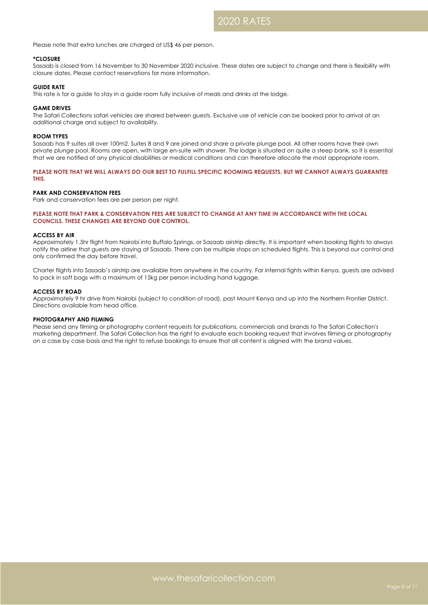Please note that extra lunches are charged at US\$ 46 per person.

# **\*CLOSURE**

Sasaab is closed from 16 November to 30 November 2020 inclusive. These dates are subject to change and there is flexibility with closure dates. Please contact reservations for more information.

### **GUIDE RATE**

This rate is for a guide to stay in a guide room fully inclusive of meals and drinks at the lodge.

#### **GAME DRIVES**

The Safari Collections safari vehicles are shared between guests. Exclusive use of vehicle can be booked prior to arrival at an additional charge and subject to availability.

## **ROOM TYPES**

Sasaab has 9 suites all over 100m2. Suites 8 and 9 are joined and share a private plunge pool. All other rooms have their own private plunge pool. Rooms are open, with large en-suite with shower. The lodge is situated on quite a steep bank, so it is essential that we are notified of any physical disabilities or medical conditions and can therefore allocate the most appropriate room.

**PLEASE NOTE THAT WE WILL ALWAYS DO OUR BEST TO FULFILL SPECIFIC ROOMING REQUESTS, BUT WE CANNOT ALWAYS GUARANTEE THIS.**

### **PARK AND CONSERVATION FEES**

Park and conservation fees are per person per night.

# **PLEASE NOTE THAT PARK & CONSERVATION FEES ARE SUBJECT TO CHANGE AT ANY TIME IN ACCORDANCE WITH THE LOCAL COUNCILS. THESE CHANGES ARE BEYOND OUR CONTROL.**

#### **ACCESS BY AIR**

Approximately 1.5hr flight from Nairobi into Buffalo Springs, or Sasaab airstrip directly. It is important when booking flights to always notify the airline that guests are staying at Sasaab. There can be multiple stops on scheduled flights. This is beyond our control and only confirmed the day before travel.

Charter flights into Sasaab's airstrip are available from anywhere in the country. For internal fights within Kenya, guests are advised to pack in soft bags with a maximum of 15kg per person including hand luggage.

#### **ACCESS BY ROAD**

Approximately 9 hr drive from Nairobi (subject to condition of road), past Mount Kenya and up into the Northern Frontier District. Directions available from head office.

## **PHOTOGRAPHY AND FILMING**

Please send any filming or photography content requests for publications, commercials and brands to The Safari Collection's marketing department. The Safari Collection has the right to evaluate each booking request that involves filming or photography on a case by case basis and the right to refuse bookings to ensure that all content is aligned with the brand values.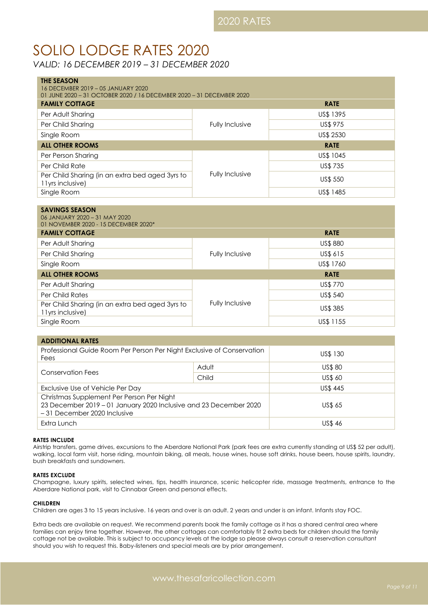# SOLIO LODGE RATES 2020

*VALID: 16 DECEMBER 2019 – 31 DECEMBER 2020*

| <b>THE SEASON</b><br>16 DECEMBER 2019 - 05 JANUARY 2020<br>01 JUNE 2020 - 31 OCTOBER 2020 / 16 DECEMBER 2020 - 31 DECEMBER 2020 |                 |                 |  |
|---------------------------------------------------------------------------------------------------------------------------------|-----------------|-----------------|--|
| <b>FAMILY COTTAGE</b>                                                                                                           |                 | <b>RATE</b>     |  |
| Per Adult Sharing                                                                                                               |                 | US\$ 1395       |  |
| Per Child Sharing                                                                                                               | Fully Inclusive | <b>US\$ 975</b> |  |
| Single Room                                                                                                                     |                 | US\$ 2530       |  |
| <b>ALL OTHER ROOMS</b>                                                                                                          |                 | <b>RATE</b>     |  |
| Per Person Sharing                                                                                                              |                 | US\$ 1045       |  |
| Per Child Rate                                                                                                                  | Fully Inclusive | <b>US\$735</b>  |  |
| Per Child Sharing (in an extra bed aged 3yrs to<br>11yrs inclusive)                                                             |                 | US\$ 550        |  |
| Single Room                                                                                                                     |                 | US\$ 1485       |  |

| <b>SAVINGS SEASON</b><br>06 JANUARY 2020 - 31 MAY 2020<br>01 NOVEMBER 2020 - 15 DECEMBER 2020* |                 |             |
|------------------------------------------------------------------------------------------------|-----------------|-------------|
| <b>FAMILY COTTAGE</b>                                                                          |                 | <b>RATE</b> |
| Per Adult Sharing                                                                              |                 | US\$880     |
| Per Child Sharing                                                                              | Fully Inclusive | US\$ 615    |
| Single Room                                                                                    |                 | US\$ 1760   |
| <b>ALL OTHER ROOMS</b>                                                                         |                 | <b>RATE</b> |
| Per Adult Sharing                                                                              |                 | US\$ 770    |
| <b>Per Child Rates</b>                                                                         |                 | US\$ 540    |
| Per Child Sharing (in an extra bed aged 3yrs to<br>11yrs inclusive)                            | Fully Inclusive | US\$ 385    |
| Single Room                                                                                    |                 | US\$ 1155   |

| <b>ADDITIONAL RATES</b>                                                                                                                       |       |                |  |
|-----------------------------------------------------------------------------------------------------------------------------------------------|-------|----------------|--|
| Professional Guide Room Per Person Per Night Exclusive of Conservation<br>Fees                                                                |       | US\$ 130       |  |
| Conservation Fees                                                                                                                             | Adult | <b>US\$80</b>  |  |
|                                                                                                                                               | Child | <b>US\$ 60</b> |  |
| Exclusive Use of Vehicle Per Day                                                                                                              |       | <b>US\$445</b> |  |
| Christmas Supplement Per Person Per Night<br>23 December 2019 - 01 January 2020 Inclusive and 23 December 2020<br>-31 December 2020 Inclusive |       | US\$ 65        |  |
| Extra Lunch                                                                                                                                   |       | US\$46         |  |

# **RATES INCLUDE**

Airstrip transfers, game drives, excursions to the Aberdare National Park (park fees are extra currently standing at US\$ 52 per adult), walking, local farm visit, horse riding, mountain biking, all meals, house wines, house soft drinks, house beers, house spirits, laundry, bush breakfasts and sundowners.

# **RATES EXCLUDE**

Champagne, luxury spirits, selected wines, tips, health insurance, scenic helicopter ride, massage treatments, entrance to the Aberdare National park, visit to Cinnabar Green and personal effects.

# **CHILDREN**

Children are ages 3 to 15 years inclusive. 16 years and over is an adult. 2 years and under is an infant. Infants stay FOC.

Extra beds are available on request. We recommend parents book the family cottage as it has a shared central area where families can enjoy time together. However, the other cottages can comfortably fit 2 extra beds for children should the family cottage not be available. This is subject to occupancy levels at the lodge so please always consult a reservation consultant should you wish to request this. Baby-listeners and special meals are by prior arrangement.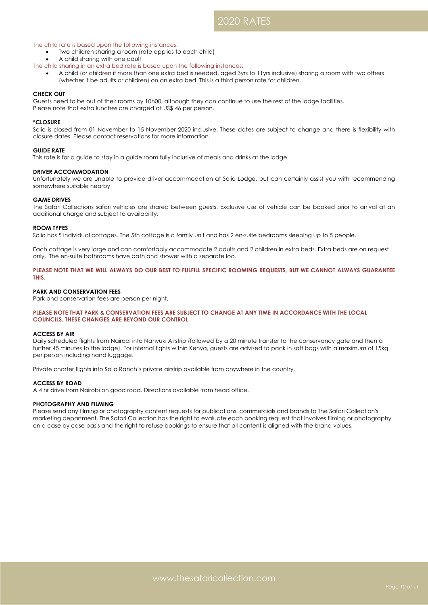# 2020 RATES

# The child rate is based upon the following instances:

- Two children sharing a room (rate applies to each child)
- A child sharing with one adult
- The child sharing in an extra bed rate is based upon the following instances:
	- A child (or children if more than one extra bed is needed, aged 3yrs to 11yrs inclusive) sharing a room with two others (whether it be adults or children) on an extra bed. This is a third person rate for children.

# **CHECK OUT**

Guests need to be out of their rooms by 10h00, although they can continue to use the rest of the lodge facilities. Please note that extra lunches are charged at US\$ 46 per person.

# **\*CLOSURE**

Solio is closed from 01 November to 15 November 2020 inclusive. These dates are subject to change and there is flexibility with closure dates. Please contact reservations for more information.

# **GUIDE RATE**

This rate is for a guide to stay in a guide room fully inclusive of meals and drinks at the lodge.

# **DRIVER ACCOMMODATION**

Unfortunately we are unable to provide driver accommodation at Solio Lodge, but can certainly assist you with recommending somewhere suitable nearby.

# **GAME DRIVES**

The Safari Collections safari vehicles are shared between guests. Exclusive use of vehicle can be booked prior to arrival at an additional charge and subject to availability.

### **ROOM TYPES**

Solio has 5 individual cottages. The 5th cottage is a family unit and has 2 en-suite bedrooms sleeping up to 5 people.

Each cottage is very large and can comfortably accommodate 2 adults and 2 children in extra beds. Extra beds are on request only. The en-suite bathrooms have bath and shower with a separate loo.

# **PLEASE NOTE THAT WE WILL ALWAYS DO OUR BEST TO FULFILL SPECIFIC ROOMING REQUESTS, BUT WE CANNOT ALWAYS GUARANTEE THIS.**

# **PARK AND CONSERVATION FEES**

Park and conservation fees are person per night.

# **PLEASE NOTE THAT PARK & CONSERVATION FEES ARE SUBJECT TO CHANGE AT ANY TIME IN ACCORDANCE WITH THE LOCAL COUNCILS. THESE CHANGES ARE BEYOND OUR CONTROL.**

### **ACCESS BY AIR**

Daily scheduled flights from Nairobi into Nanyuki Airstrip (followed by a 20 minute transfer to the conservancy gate and then a further 45 minutes to the lodge). For internal fights within Kenya, guests are advised to pack in soft bags with a maximum of 15kg per person including hand luggage.

Private charter flights into Solio Ranch's private airstrip available from anywhere in the country.

### **ACCESS BY ROAD**

A 4 hr drive from Nairobi on good road. Directions available from head office.

### **PHOTOGRAPHY AND FILMING**

Please send any filming or photography content requests for publications, commercials and brands to The Safari Collection's marketing department. The Safari Collection has the right to evaluate each booking request that involves filming or photography on a case by case basis and the right to refuse bookings to ensure that all content is aligned with the brand values.